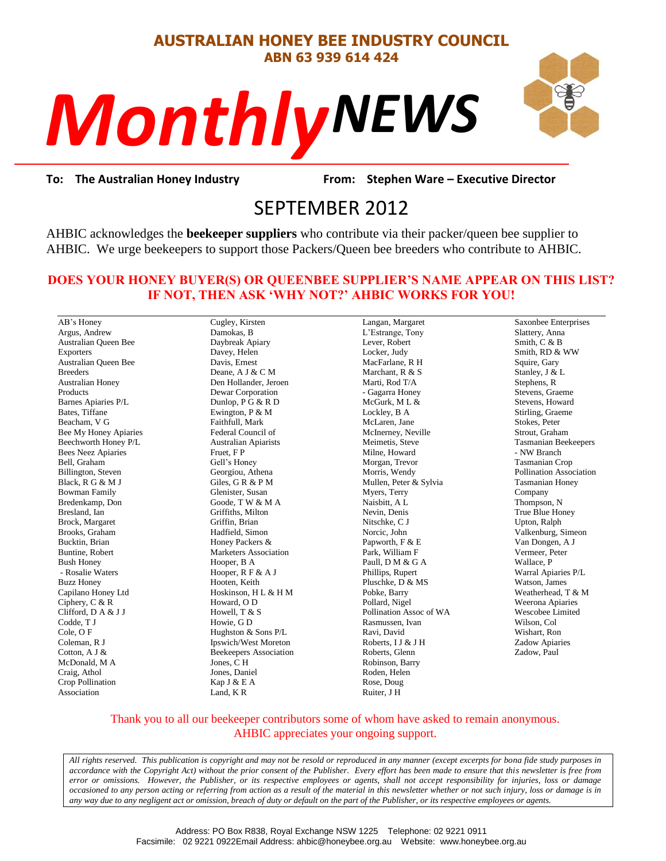#### **AUSTRALIAN HONEY BEE INDUSTRY COUNCIL ABN 63 939 614 424**

# *NEWS Monthly*



**To: The Australian Honey Industry From: Stephen Ware – Executive Director**

## From: Stepher<br>
From: Stepher<br>
SEPTEMBER 2012

AHBIC acknowledges the **beekeeper suppliers** who contribute via their packer/queen bee supplier to AHBIC. We urge beekeepers to support those Packers/Queen bee breeders who contribute to AHBIC.

#### **DOES YOUR HONEY BUYER(S) OR QUEENBEE SUPPLIER'S NAME APPEAR ON THIS LIST? IF NOT, THEN ASK 'WHY NOT?' AHBIC WORKS FOR YOU!**

AB's Honey Argus, Andrew Australian Queen Bee Exporters Australian Queen Bee Breeders Australian Honey Products Barnes Apiaries P/L Bates, Tiffane Beacham, V G Bee My Honey Apiaries Beechworth Honey P/L Bees Neez Apiaries Bell, Graham Billington, Steven Black, R G & M J Bowman Family Bredenkamp, Don Bresland, Ian Brock, Margaret Brooks, Graham Bucktin, Brian Buntine, Robert Bush Honey - Rosalie Waters Buzz Honey Capilano Honey Ltd Ciphery, C & R Clifford, D A & J J Codde, T J Cole, O F Coleman, R J Cotton, A J & McDonald, M A Craig, Athol Crop Pollination Association

Cugley, Kirsten Damokas, B Daybreak Apiary Davey, Helen Davis, Ernest Deane, A J & C M Den Hollander, Jeroen Dewar Corporation Dunlop, P G & R D Ewington, P & M Faithfull, Mark Federal Council of Australian Apiarists Fruet, F P Gell's Honey Georgiou, Athena Giles, G R & P M Glenister, Susan Goode, T W & M A Griffiths, Milton Griffin, Brian Hadfield, Simon Honey Packers & Marketers Association Hooper, B A Hooper, R F & A J Hooten, Keith Hoskinson, H L & H M Howard, O D Howell, T & S Howie, G D Hughston & Sons P/L Ipswich/West Moreton Beekeepers Association Jones, C H Jones, Daniel Kap J & E A Land, K R

Langan, Margaret L'Estrange, Tony Lever, Robert Locker, Judy MacFarlane, R H Marchant, R & S Marti, Rod T/A - Gagarra Honey  $McGurk$ , M L & Lockley, B A McLaren, Jane McInerney, Neville Meimetis, Steve Milne, Howard Morgan, Trevor Morris, Wendy Mullen, Peter & Sylvia Myers, Terry Naisbitt, A L Nevin, Denis Nitschke, C J Norcic, John Papworth, F & E Park, William F Paull, D M & G A Phillips, Rupert Pluschke, D & MS Pobke, Barry Pollard, Nigel Pollination Assoc of WA Rasmussen, Ivan Ravi, David Roberts, I J & J H Roberts, Glenn Robinson, Barry Roden, Helen Rose, Doug Ruiter, J H

Saxonbee Enterprises Slattery, Anna Smith, C & B Smith, RD & WW Squire, Gary Stanley, J & L Stephens, R Stevens, Graeme Stevens, Howard Stirling, Graeme Stokes, Peter Strout, Graham Tasmanian Beekeepers - NW Branch Tasmanian Crop Pollination Association Tasmanian Honey Company Thompson, N True Blue Honey Upton, Ralph Valkenburg, Simeon Van Dongen, A J Vermeer, Peter Wallace, P Warral Apiaries P/L Watson, James Weatherhead, T & M Weerona Apiaries Wescobee Limited Wilson, Col Wishart, Ron Zadow Apiaries Zadow, Paul

#### Thank you to all our beekeeper contributors some of whom have asked to remain anonymous. AHBIC appreciates your ongoing support.

*All rights reserved. This publication is copyright and may not be resold or reproduced in any manner (except excerpts for bona fide study purposes in accordance with the Copyright Act) without the prior consent of the Publisher. Every effort has been made to ensure that this newsletter is free from error or omissions. However, the Publisher, or its respective employees or agents, shall not accept responsibility for injuries, loss or damage occasioned to any person acting or referring from action as a result of the material in this newsletter whether or not such injury, loss or damage is in any way due to any negligent act or omission, breach of duty or default on the part of the Publisher, or its respective employees or agents.*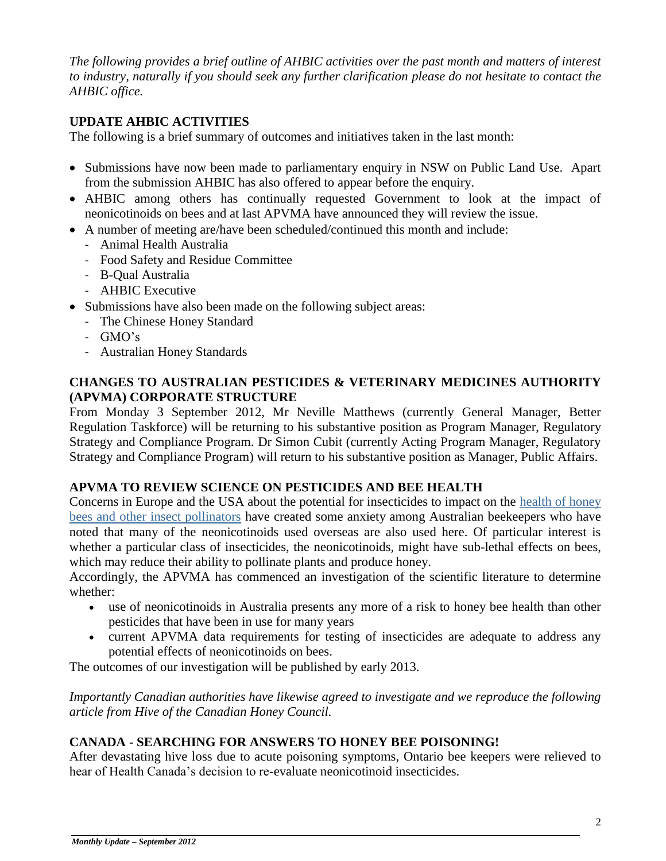*The following provides a brief outline of AHBIC activities over the past month and matters of interest to industry, naturally if you should seek any further clarification please do not hesitate to contact the AHBIC office.*

#### **UPDATE AHBIC ACTIVITIES**

The following is a brief summary of outcomes and initiatives taken in the last month:

- Submissions have now been made to parliamentary enquiry in NSW on Public Land Use. Apart from the submission AHBIC has also offered to appear before the enquiry.
- AHBIC among others has continually requested Government to look at the impact of neonicotinoids on bees and at last APVMA have announced they will review the issue.
- A number of meeting are/have been scheduled/continued this month and include:
	- Animal Health Australia
	- Food Safety and Residue Committee
	- B-Qual Australia
	- AHBIC Executive
- Submissions have also been made on the following subject areas:
	- The Chinese Honey Standard
	- GMO's
	- Australian Honey Standards

#### **CHANGES TO AUSTRALIAN PESTICIDES & VETERINARY MEDICINES AUTHORITY (APVMA) CORPORATE STRUCTURE**

From Monday 3 September 2012, Mr Neville Matthews (currently General Manager, Better Regulation Taskforce) will be returning to his substantive position as Program Manager, Regulatory Strategy and Compliance Program. Dr Simon Cubit (currently Acting Program Manager, Regulatory Strategy and Compliance Program) will return to his substantive position as Manager, Public Affairs.

#### **APVMA TO REVIEW SCIENCE ON PESTICIDES AND BEE HEALTH**

Concerns in Europe and the USA about the potential for insecticides to impact on the [health of honey](http://apvma.us2.list-manage2.com/track/click?u=f09f7f9ed2a2867a19b99e2e4&id=7b1b93dfe7&e=860b229471)  [bees and other insect pollinators](http://apvma.us2.list-manage2.com/track/click?u=f09f7f9ed2a2867a19b99e2e4&id=7b1b93dfe7&e=860b229471) have created some anxiety among Australian beekeepers who have noted that many of the neonicotinoids used overseas are also used here. Of particular interest is whether a particular class of insecticides, the neonicotinoids, might have sub-lethal effects on bees, which may reduce their ability to pollinate plants and produce honey.

Accordingly, the APVMA has commenced an investigation of the scientific literature to determine whether:

- use of neonicotinoids in Australia presents any more of a risk to honey bee health than other pesticides that have been in use for many years
- current APVMA data requirements for testing of insecticides are adequate to address any potential effects of neonicotinoids on bees.

The outcomes of our investigation will be published by early 2013.

*Importantly Canadian authorities have likewise agreed to investigate and we reproduce the following article from Hive of the Canadian Honey Council.*

#### **CANADA - SEARCHING FOR ANSWERS TO HONEY BEE POISONING!**

After devastating hive loss due to acute poisoning symptoms, Ontario bee keepers were relieved to hear of Health Canada's decision to re-evaluate neonicotinoid insecticides.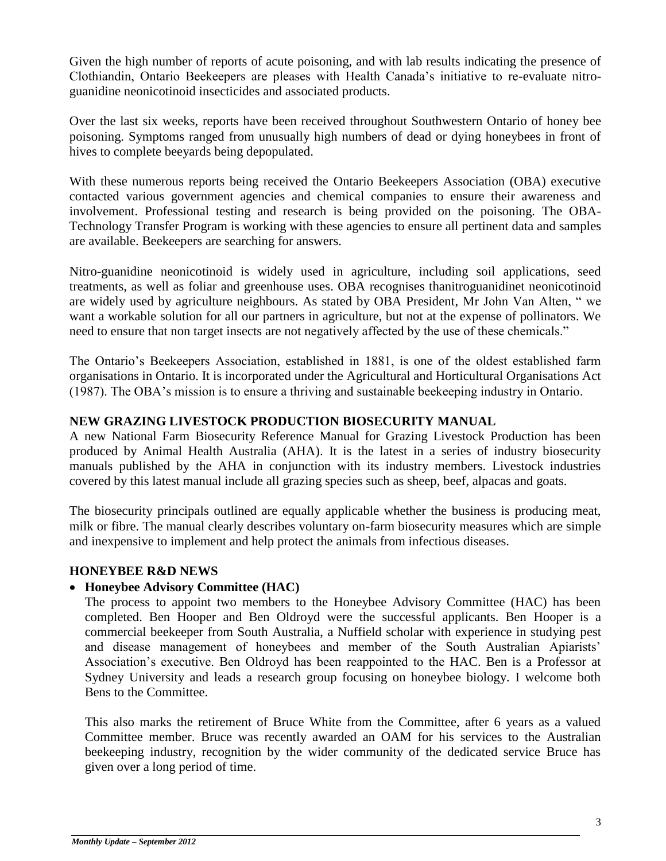Given the high number of reports of acute poisoning, and with lab results indicating the presence of Clothiandin, Ontario Beekeepers are pleases with Health Canada's initiative to re-evaluate nitroguanidine neonicotinoid insecticides and associated products.

Over the last six weeks, reports have been received throughout Southwestern Ontario of honey bee poisoning. Symptoms ranged from unusually high numbers of dead or dying honeybees in front of hives to complete beeyards being depopulated.

With these numerous reports being received the Ontario Beekeepers Association (OBA) executive contacted various government agencies and chemical companies to ensure their awareness and involvement. Professional testing and research is being provided on the poisoning. The OBA-Technology Transfer Program is working with these agencies to ensure all pertinent data and samples are available. Beekeepers are searching for answers.

Nitro-guanidine neonicotinoid is widely used in agriculture, including soil applications, seed treatments, as well as foliar and greenhouse uses. OBA recognises thanitroguanidinet neonicotinoid are widely used by agriculture neighbours. As stated by OBA President, Mr John Van Alten, " we want a workable solution for all our partners in agriculture, but not at the expense of pollinators. We need to ensure that non target insects are not negatively affected by the use of these chemicals."

The Ontario's Beekeepers Association, established in 1881, is one of the oldest established farm organisations in Ontario. It is incorporated under the Agricultural and Horticultural Organisations Act (1987). The OBA's mission is to ensure a thriving and sustainable beekeeping industry in Ontario.

#### **NEW GRAZING LIVESTOCK PRODUCTION BIOSECURITY MANUAL**

A new National Farm Biosecurity Reference Manual for Grazing Livestock Production has been produced by Animal Health Australia (AHA). It is the latest in a series of industry biosecurity manuals published by the AHA in conjunction with its industry members. Livestock industries covered by this latest manual include all grazing species such as sheep, beef, alpacas and goats.

The biosecurity principals outlined are equally applicable whether the business is producing meat, milk or fibre. The manual clearly describes voluntary on-farm biosecurity measures which are simple and inexpensive to implement and help protect the animals from infectious diseases.

#### **HONEYBEE R&D NEWS**

#### **Honeybee Advisory Committee (HAC)**

The process to appoint two members to the Honeybee Advisory Committee (HAC) has been completed. Ben Hooper and Ben Oldroyd were the successful applicants. Ben Hooper is a commercial beekeeper from South Australia, a Nuffield scholar with experience in studying pest and disease management of honeybees and member of the South Australian Apiarists' Association's executive. Ben Oldroyd has been reappointed to the HAC. Ben is a Professor at Sydney University and leads a research group focusing on honeybee biology. I welcome both Bens to the Committee.

This also marks the retirement of Bruce White from the Committee, after 6 years as a valued Committee member. Bruce was recently awarded an OAM for his services to the Australian beekeeping industry, recognition by the wider community of the dedicated service Bruce has given over a long period of time.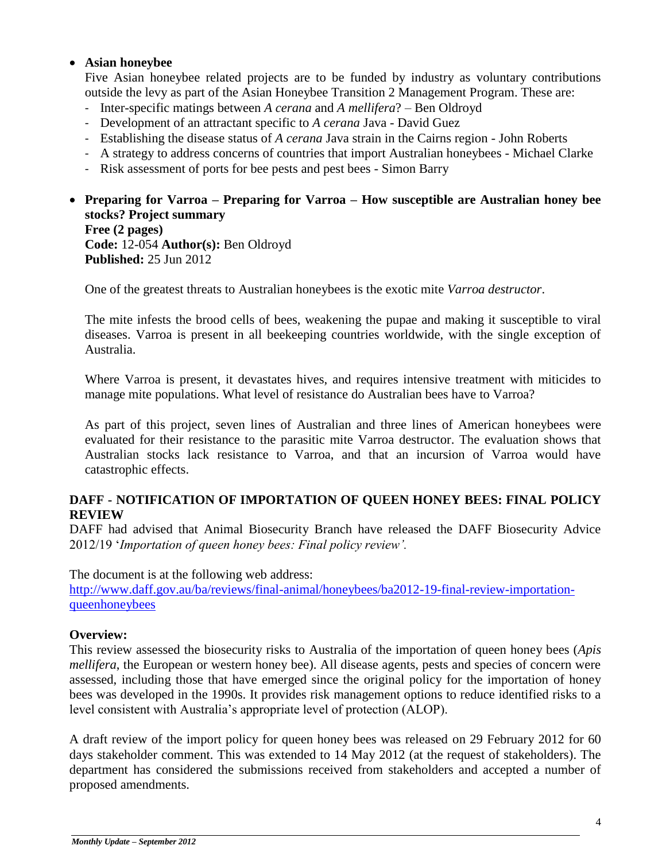#### **Asian honeybee**

Five Asian honeybee related projects are to be funded by industry as voluntary contributions outside the levy as part of the Asian Honeybee Transition 2 Management Program. These are:

- Inter-specific matings between *A cerana* and *A mellifera*? Ben Oldroyd
- Development of an attractant specific to *A cerana* Java David Guez
- Establishing the disease status of *A cerana* Java strain in the Cairns region John Roberts
- A strategy to address concerns of countries that import Australian honeybees Michael Clarke
- Risk assessment of ports for bee pests and pest bees Simon Barry

### **Preparing for Varroa – Preparing for Varroa – How susceptible are Australian honey bee stocks? Project summary**

**Free (2 pages) Code:** 12-054 **Author(s):** Ben Oldroyd **Published:** 25 Jun 2012

One of the greatest threats to Australian honeybees is the exotic mite *Varroa destructor*.

The mite infests the brood cells of bees, weakening the pupae and making it susceptible to viral diseases. Varroa is present in all beekeeping countries worldwide, with the single exception of Australia.

Where Varroa is present, it devastates hives, and requires intensive treatment with miticides to manage mite populations. What level of resistance do Australian bees have to Varroa?

As part of this project, seven lines of Australian and three lines of American honeybees were evaluated for their resistance to the parasitic mite Varroa destructor. The evaluation shows that Australian stocks lack resistance to Varroa, and that an incursion of Varroa would have catastrophic effects.

#### **DAFF - NOTIFICATION OF IMPORTATION OF QUEEN HONEY BEES: FINAL POLICY REVIEW**

DAFF had advised that Animal Biosecurity Branch have released the DAFF Biosecurity Advice 2012/19 '*Importation of queen honey bees: Final policy review'.*

The document is at the following web address: [http://www.daff.gov.au/ba/reviews/final-animal/honeybees/ba2012-19-final-review-importation](http://www.daff.gov.au/ba/reviews/final-animal/honeybees/ba2012-19-final-review-importation-queenhoneybees)[queenhoneybees](http://www.daff.gov.au/ba/reviews/final-animal/honeybees/ba2012-19-final-review-importation-queenhoneybees)

#### **Overview:**

This review assessed the biosecurity risks to Australia of the importation of queen honey bees (*Apis mellifera*, the European or western honey bee). All disease agents, pests and species of concern were assessed, including those that have emerged since the original policy for the importation of honey bees was developed in the 1990s. It provides risk management options to reduce identified risks to a level consistent with Australia's appropriate level of protection (ALOP).

A draft review of the import policy for queen honey bees was released on 29 February 2012 for 60 days stakeholder comment. This was extended to 14 May 2012 (at the request of stakeholders). The department has considered the submissions received from stakeholders and accepted a number of proposed amendments.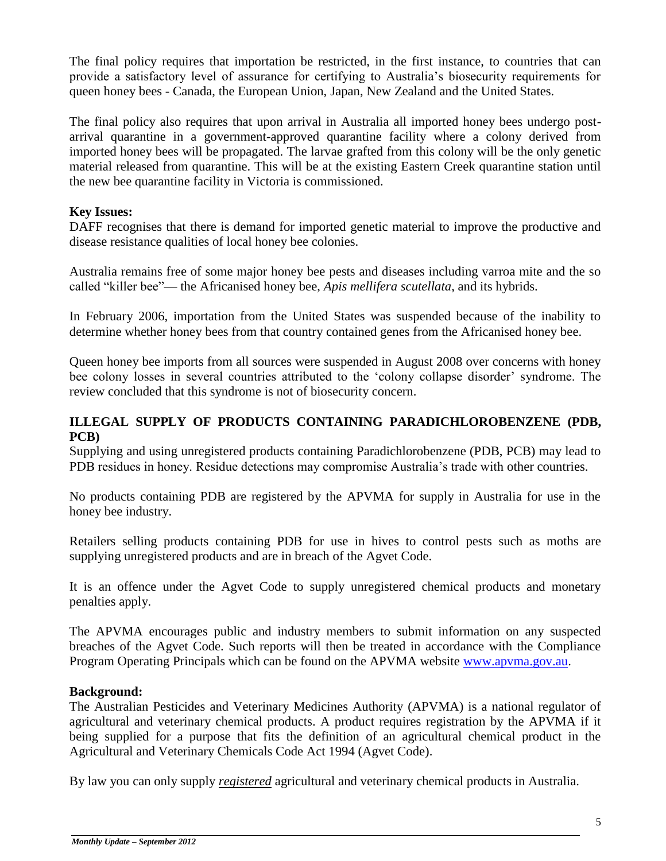The final policy requires that importation be restricted, in the first instance, to countries that can provide a satisfactory level of assurance for certifying to Australia's biosecurity requirements for queen honey bees - Canada, the European Union, Japan, New Zealand and the United States.

The final policy also requires that upon arrival in Australia all imported honey bees undergo postarrival quarantine in a government-approved quarantine facility where a colony derived from imported honey bees will be propagated. The larvae grafted from this colony will be the only genetic material released from quarantine. This will be at the existing Eastern Creek quarantine station until the new bee quarantine facility in Victoria is commissioned.

#### **Key Issues:**

DAFF recognises that there is demand for imported genetic material to improve the productive and disease resistance qualities of local honey bee colonies.

Australia remains free of some major honey bee pests and diseases including varroa mite and the so called "killer bee"— the Africanised honey bee, *Apis mellifera scutellata*, and its hybrids.

In February 2006, importation from the United States was suspended because of the inability to determine whether honey bees from that country contained genes from the Africanised honey bee.

Queen honey bee imports from all sources were suspended in August 2008 over concerns with honey bee colony losses in several countries attributed to the 'colony collapse disorder' syndrome. The review concluded that this syndrome is not of biosecurity concern.

#### **ILLEGAL SUPPLY OF PRODUCTS CONTAINING PARADICHLOROBENZENE (PDB, PCB)**

Supplying and using unregistered products containing Paradichlorobenzene (PDB, PCB) may lead to PDB residues in honey. Residue detections may compromise Australia's trade with other countries.

No products containing PDB are registered by the APVMA for supply in Australia for use in the honey bee industry.

Retailers selling products containing PDB for use in hives to control pests such as moths are supplying unregistered products and are in breach of the Agvet Code.

It is an offence under the Agvet Code to supply unregistered chemical products and monetary penalties apply.

The APVMA encourages public and industry members to submit information on any suspected breaches of the Agvet Code. Such reports will then be treated in accordance with the Compliance Program Operating Principals which can be found on the APVMA website [www.apvma.gov.au.](http://www.apvma.gov.au/)

#### **Background:**

The Australian Pesticides and Veterinary Medicines Authority (APVMA) is a national regulator of agricultural and veterinary chemical products. A product requires registration by the APVMA if it being supplied for a purpose that fits the definition of an agricultural chemical product in the Agricultural and Veterinary Chemicals Code Act 1994 (Agvet Code).

By law you can only supply *registered* agricultural and veterinary chemical products in Australia.